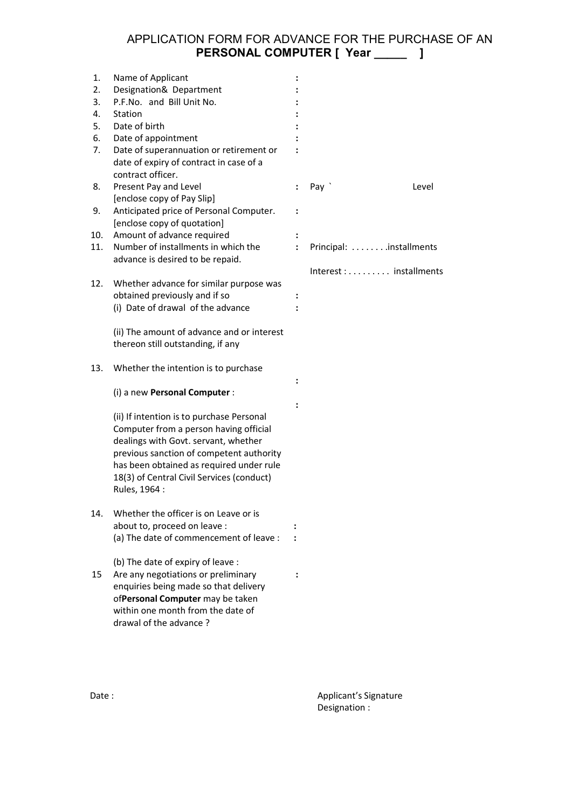## APPLICATION FORM FOR ADVANCE FOR THE PURCHASE OF AN **PERSONAL COMPUTER [ Year \_\_\_\_\_ ]**

| 1.  | Name of Applicant                                                       |                      |                         |  |
|-----|-------------------------------------------------------------------------|----------------------|-------------------------|--|
| 2.  | Designation& Department                                                 |                      |                         |  |
| 3.  | P.F.No. and Bill Unit No.                                               |                      |                         |  |
| 4.  | Station                                                                 |                      |                         |  |
| 5.  | Date of birth                                                           |                      |                         |  |
| 6.  | Date of appointment                                                     |                      |                         |  |
| 7.  | Date of superannuation or retirement or                                 |                      |                         |  |
|     | date of expiry of contract in case of a                                 |                      |                         |  |
|     | contract officer.                                                       |                      |                         |  |
| 8.  | Present Pay and Level                                                   | ÷                    | Pay `<br>Level          |  |
|     | [enclose copy of Pay Slip]                                              |                      |                         |  |
| 9.  | Anticipated price of Personal Computer.                                 | $\ddot{\phantom{a}}$ |                         |  |
|     | [enclose copy of quotation]                                             |                      |                         |  |
| 10. | Amount of advance required                                              |                      |                         |  |
| 11. | Number of installments in which the                                     | $\ddot{\phantom{a}}$ | Principal: installments |  |
|     | advance is desired to be repaid.                                        |                      |                         |  |
|     |                                                                         |                      | Interest : installments |  |
| 12. | Whether advance for similar purpose was                                 |                      |                         |  |
|     | obtained previously and if so                                           |                      |                         |  |
|     | (i) Date of drawal of the advance                                       |                      |                         |  |
|     |                                                                         |                      |                         |  |
|     | (ii) The amount of advance and or interest                              |                      |                         |  |
|     | thereon still outstanding, if any                                       |                      |                         |  |
|     |                                                                         |                      |                         |  |
| 13. | Whether the intention is to purchase                                    |                      |                         |  |
|     |                                                                         |                      |                         |  |
|     | (i) a new Personal Computer :                                           |                      |                         |  |
|     |                                                                         |                      |                         |  |
|     | (ii) If intention is to purchase Personal                               |                      |                         |  |
|     | Computer from a person having official                                  |                      |                         |  |
|     | dealings with Govt. servant, whether                                    |                      |                         |  |
|     | previous sanction of competent authority                                |                      |                         |  |
|     | has been obtained as required under rule                                |                      |                         |  |
|     | 18(3) of Central Civil Services (conduct)                               |                      |                         |  |
|     |                                                                         |                      |                         |  |
|     | Rules, 1964 :                                                           |                      |                         |  |
| 14. | Whether the officer is on Leave or is                                   |                      |                         |  |
|     |                                                                         |                      |                         |  |
|     | about to, proceed on leave :<br>(a) The date of commencement of leave : |                      |                         |  |
|     |                                                                         |                      |                         |  |
|     | (b) The date of expiry of leave :                                       |                      |                         |  |
| 15  | Are any negotiations or preliminary                                     |                      |                         |  |
|     |                                                                         |                      |                         |  |
|     | enquiries being made so that delivery                                   |                      |                         |  |
|     | ofPersonal Computer may be taken                                        |                      |                         |  |
|     | within one month from the date of                                       |                      |                         |  |
|     | drawal of the advance?                                                  |                      |                         |  |

Date : <br>
Date : <br>
Applicant's Signature Designation :